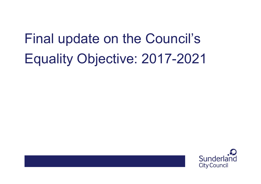### Final update on the Council's Equality Objective: 2017-2021

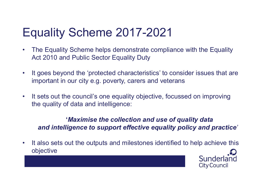### Equality Scheme 2017-2021

- Equality Scheme 2017-2021<br>• The Equality Scheme helps demonstrate compliance with the Equality<br>Act 2010 and Public Sector Equality Duty Act 2010 and Public Sector Equality Duty Equality Scheme 2017-2021<br>• The Equality Scheme helps demonstrate compliance with the Equality<br>Act 2010 and Public Sector Equality Duty<br>• It goes beyond the 'protected characteristics' to consider issues that are<br>important Equality Scheme 2017-2021<br>• The Equality Scheme helps demonstrate compliance with the Equality<br>Act 2010 and Public Sector Equality Duty<br>• It goes beyond the 'protected characteristics' to consider issues that are<br>important
- important in our city e.g. poverty, carers and veterans
- the quality of data and intelligence:

y Scheme helps demonstrate compliance with the Equality<br>
d Public Sector Equality Duty<br>
and the 'protected characteristics' to consider issues that are<br>
our city e.g. poverty, carers and veterans<br>
is council's one equality and intelligence to support effective equality policy and practice'

• It goes beyond the 'protected characteristics' to consider issues that are<br>
important in our city e.g. poverty, carers and veterans<br>
• It sets out the council's one equality objective, focussed on improving<br>
the quality objective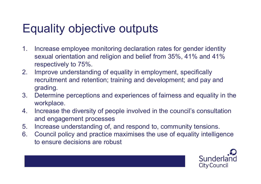### Equality objective outputs

- Equality objective outputs<br>
1. Increase employee monitoring declaration rates for gender identity<br>
sexual orientation and religion and belief from 35%, 41% and 41%<br>
respectively to 75%. sexual orientation and religion and belief from 35%, 41% and 41% respectively to 75%.
- Equality objective outputs<br>
2. Increase employee monitoring declaration rates for gender identity<br>
sexual orientation and religion and belief from 35%, 41% and 41%<br>
respectively to 75%.<br>
2. Improve understanding of equalit recruitment and retention; training and development; and pay and grading. **Equality objective outputs**<br>
1. Increase employee monitoring declaration rates for gender identity<br>
sexual orientation and religion and belief from 35%, 41% and 41%<br>
respectively to 75%.<br>
2. Improve understanding of equal 1. Increase employee monitoring declaration rates for gender identity<br>sexual orientation and religion and belief from 35%, 41% and 41%<br>respectively to 75%.<br>2. Improve understanding of equality in employment, specifically<br>r 1. Increase employee monitoring declaration rates for gender identity<br>sexual orientation and religion and belief from 35%, 41% and 41%<br>respectively to 75%.<br>2. Improve understanding of equality in employment, specifically<br>r Sexual orientation and religion and belief from 35%, 41% and 41%<br>respectively to 75%.<br>2. Improve understanding of equality in employment, specifically<br>recruitment and retention; training and development; and pay and<br>gradin
- workplace.
- and engagement processes
- 
- to ensure decisions are robust

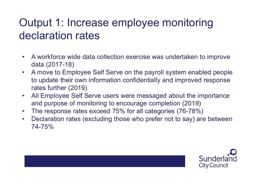# Output 1: Increase employee monitoring declaration rates **Output 1: Increase employee monitoring<br>declaration rates**<br>• A workforce wide data collection exercise was undertaken to improve<br>data (2017-18)<br>• A move to Employee Self Serve on the payroll system enabled people

- data (2017-18)
- **Controllering of Allen Scheme Self Serve on the payroll system enabled people**<br>
 A workforce wide data collection exercise was undertaken to improve<br>
data (2017-18)<br>
 A move to Employee Self Serve on the payroll system to update their own information confidentially and improved response rates further (2019) **Output 1: Increase employee monitoring**<br> **declaration rates**<br>
• A workforce wide data collection exercise was undertaken to improve<br>
data (2017-18)<br>
• A move to Employee Self Serve on the payroll system enabled people<br>
to **eclaration rates**<br>
• A workforce wide data collection exercise was undertaken to improve<br>
data (2017-18)<br>
• A move to Employee Self Serve on the payroll system enabled people<br>
to update their own information confidentiall • A workforce wide data collection exercise was undertaken to improve<br>
• A move to Employee Self Serve on the payroll system enabled people<br>
to update their own information confidentially and improved response<br>
rates furth
- and purpose of monitoring to encourage completion (2019)
- 
- 74-75%

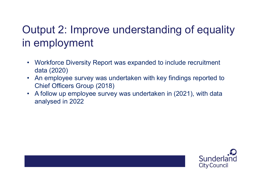## Output 2: Improve understanding of equality in employment **Putput 2: Improve understanding of equality<br>• employment<br>• Workforce Diversity Report was expanded to include recruitment<br>• An employee survey was undertaken with key findings reported to Putput 2: Improve understanding of equality<br>
• Morkforce Diversity Report was expanded to include recruitment<br>
• Workforce Diversity Report was expanded to include recruitment<br>
• An employee survey was undertaken with key Putput 2: Improve understanding of equality<br>
• Morkforce Diversity Report was expanded to include recruitment<br>
• Workforce Diversity Report was expanded to include recruitment<br>
• An employee survey was undertaken with key**

- data (2020)
- Chief Officers Group (2018)
- analysed in 2022

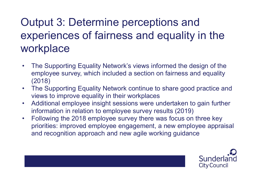## Output 3: Determine perceptions and experiences of fairness and equality in the workplace **Output 3: Determine perceptions and<br>experiences of fairness and equality in the<br>workplace<br>• The Supporting Equality Network's views informed the design of the<br>employee survey, which included a section on fairness and equa Output 3: Determine perceptions and<br>experiences of fairness and equality in the<br>workplace**<br>• The Supporting Equality Network's views informed the design of the<br>employee survey, which included a section on fairness and equ • The Supporting Equality Network's views informed the design of the<br>
• The Supporting Equality Network's views informed the design of the<br>
• employee survey, which included a section on fairness and equality<br>
• The Suppor

- employee survey, which included a section on fairness and equality (2018)
- views to improve equality in their workplaces
- information in relation to employee survey results (2019)
- **EXECT SECT AND THE CONDUCTS CONSUMING CONSUMING CONSUMING THE SUPPORT CONSUMPTION**<br>
 The Supporting Equality Network's views informed the design of the<br>
employee survey, which included a section on fairness and equality<br> priorities: improved employee engagement, a new employee appraisal and recognition approach and new agile working guidance

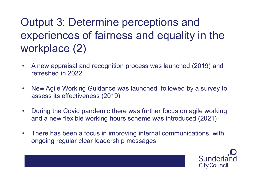## Output 3: Determine perceptions and experiences of fairness and equality in the workplace (2) Output 3: Determine perceptions and<br>experiences of fairness and equality in the<br>workplace (2)<br>• A new appraisal and recognition process was launched (2019) and<br>refreshed in 2022 **Output 3: Determine perceptions and<br>
experiences of fairness and equality in the<br>
workplace (2)<br>
• A new appraisal and recognition process was launched (2019) and<br>
refreshed in 2022<br>
• New Agile Working Guidance was launc Experiences of fairness and equality in the workplace (2)**<br>
• A new appraisal and recognition process was launched (2019) and<br>
• New Agile Working Guidance was launched, followed by a survey to<br>
• assess its effectivenes

- refreshed in 2022
- assess its effectiveness (2019)
- and a new flexible working hours scheme was introduced (2021) • A new appraisal and recognition process was launched (2019) and<br>refreshed in 2022<br>• New Agile Working Guidance was launched, followed by a survey to<br>assess its effectiveness (2019)<br>• During the Covid pandemic there was f
- ongoing regular clear leadership messages

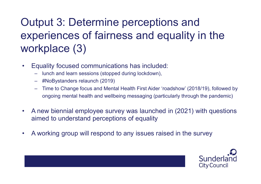### Output 3: Determine perceptions and experiences of fairness and equality in the workplace (3) Output 3: Determine perceptions and<br>experiences of fairness and equality<br>workplace  $(3)$ <br>• Equality focused communications has included:<br>- tho Bystanders relaunch (2019)<br>- #NoBystanders relaunch (2019) tput 3: Determine perceptions and<br>periences of fairness and equality<br>rkplace (3)<br>iquality focused communications has included:<br>- lunch and learn sessions (stopped during lockdown),<br>- #NoBystanders relaunch (2019)<br>- Time to tput 3: Determine perce<br>
Deriences of fairness an<br>
rkplace (3)<br>
Equality focused communications has in<br>
- lunch and learn sessions (stopped during lock<br>
- #NoBystanders relaunch (2019)<br>
- Time to Change focus and Mental He tput 3: Determine perceptions and<br>periences of fairness and equality in the<br>rkplace (3)<br>iquality focused communications has included:<br>- lunch and learn sessions (stopped during lockdown),<br>- #NoBystanders relaunch (2019)<br>- **Experiences of fairness and equality in the workplace (3)**<br>
• Equality focused communications has included:<br>
– lunch and learn sessions (stopped during lockdown),<br>
– #NoBystanders relation (2019)<br>
– Time to Change focus

- -
	-
	- ongoing mental health and wellbeing messaging (particularly through the pandemic)
- aimed to understand perceptions of equality • Equality focused communications has included:<br>
– lunch and learn sessions (stopped during lockdown),<br>
– #NoBystanders relaunch (2019)<br>
– Time to Change focus and Mental Health First Aider 'roadshow' (2018/19),<br>
ongoing m
- 

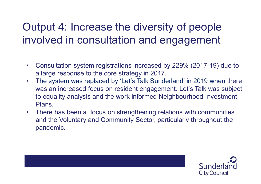# Output 4: Increase the diversity of people involved in consultation and engagement **Putput 4: Increase the diversity of people**<br> **Avolved in consultation and engagement**<br>
• Consultation system registrations increased by 229% (2017-19) due to<br>
• The system was replaced by 'Let's Talk Sunderland' in 2019 w

- a large response to the core strategy in 2017.
- Dutput 4: Increase the diversity of people<br>
 Nolved in consultation and engagement<br>
 Consultation system registrations increased by 229% (2017-19) due to<br>
 a large response to the core strategy in 2017.<br>
 The system was an increased focus on resident engagement. Let's Talk was subject to equality analysis and the work informed Neighbourhood Investment Plans. • Consultation and engagement<br>• Consultation system registrations increased by 229% (2017-19) due to<br>• a large response to the core strategy in 2017.<br>• The system was replaced by 'Let's Talk Sunderland' in 2019 when there<br>
- and the Voluntary and Community Sector, particularly throughout the pandemic.



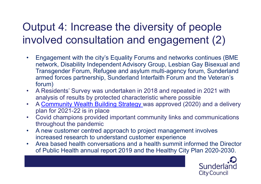### Output 4: Increase the diversity of people involved consultation and engagement (2)

- **Continues 1 And Solution School School School School School School School School School School School School**<br>• Engagement with the city's Equality Forums and networks continues (BME<br>network, Disability Independent Adviso network, Disability Independent Advisory Group, Lesbian Gay Bisexual and Transgender Forum, Refugee and asylum multi-agency forum, Sunderland armed forces partnership, Sunderland Interfaith Forum and the Veteran's forum) **Consultation and engagement (2)**<br>
• Engagement with the city's Equality Forums and networks continues (BME<br>
network, Disability Independent Advisory Group, Lesbian Gay Bisexual and<br>
Transgender Forum, Refugee and asylum m **Dutput 4: Increase the diversity of people**<br> **A Community in the city's Equality Forums and networks continues (BME**<br> **Engagement with the city's Equality Forums and networks continues (BME**<br> **Engagement Building Proveme From that is an interpretate in the covid change in the property of the prediction of the prediction of the method, Disability Independent Advisory Group, Lesbian Gay Bisexual and Transgender Forum, Refugee and asylum mu** • Engagement with the city's Equality Forums and networks continues (BME<br>network, Disability Independent Advisory Group, Lesbian Gay Bisexual and<br>Transgender Forum, Refugee and asylum multi-agency forum, Sunderland<br>armed f Fransgender Forum, Refugee and asylum multi-agency forum, Sunderland<br>Transgender Forum, Refugee and asylum multi-agency forum, Sunderland<br>armed forces partnership, Sunderland Interfaith Forum and the Veteran's<br>forum)<br>• A R
- analysis of results by protected characteristic where possible
- plan for 2021-22 is in place
- throughout the pandemic
- increased research to understand customer experience
- of Public Health annual report 2019 and the Healthy City Plan 2020-2030.

**City Council**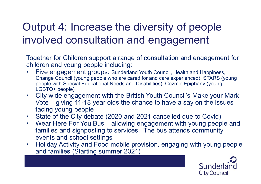## Output 4: Increase the diversity of people involved consultation and engagement **Dutput 4: Increase the diversity of people**<br> **nvolved consultation and engagement**<br>
Together for Children support a range of consultation and engagement for<br>
children and young people including:<br>
• Five engagement groups: **throught A: Increase the diversity of people volved consultation and engagement**<br>yether for Children support a range of consultation and engagement for<br>idren and young people including:<br>Five engagement groups: Sunderland **Dutput 4: Increase the diversity of people**<br> **Avolved consultation and engagement**<br> **Together for Children support a range of consultation and engagement for children and young people including:**<br>
• Five engagement groups

Together for Children support a range of consultation and engagement for children and young people including:

- Change Council (young people who are cared for and care experienced), STARS (young LGBTQ+ people) It put 4: Increase the diversity of people<br>
volved consultation and engagement<br>
usther for Children support a range of consultation and engagement for<br>
Idren and young people including:<br>
Five engagement groups: Sunderland **CONSUIT CONSUIT ANDIVE CONSUIT CONSUIT AND AND AND AND SUMPLE TO CONSULTER TO CONSULTER THE CONSULTER THE CHIRGO CONSULTER THE CITY COUPS CONSULTER COUPS (SURFACT COUPS CONSULTER) CONSULTER (SURFACT COUPS (COUPS 1- LOBTQ+** Fogether for Children support a range of consultation and engagement for<br>
children and young people including:<br>
• Five engagement groups: Sunderland Youth Council, Health and Happiness,<br>
Change Council (young people with S Finder and young people including.<br>• Five engagement groups: Sunderland Youth Council, Health and Happiness,<br>
Change Council (young people who are cared for and care experienced), STARS (young<br>
people with Special Educatio
- facing young people
- 
- families and signposting to services. The bus attends community events and school settings
- and families (Starting summer 2021)

**City Council**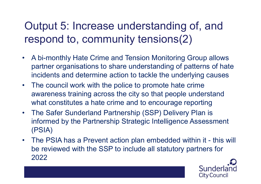### Output 5: Increase understanding of, and respond to, community tensions(2)

- Output 5: Increase understanding of, and<br>respond to, community tensions(2)<br>A bi-monthly Hate Crime and Tension Monitoring Group allows<br>partner organisations to share understanding of patterns of hate<br>incidents and determin partner organisations to share understanding of patterns of hate incidents and determine action to tackle the underlying causes Output 5: Increase understanding of, and<br>respond to, community tensions(2)<br>• A bi-monthly Hate Crime and Tension Monitoring Group allows<br>partner organisations to share understanding of patterns of hate<br>incidents and determ
- awareness training across the city so that people understand what constitutes a hate crime and to encourage reporting
- **FESPOND to, COMMUNITY tensions(2)**<br>
 A bi-monthly Hate Crime and Tension Monitoring Group allows<br>
partner organisations to share understanding of patterns of hate<br>
incidents and determine action to tackle the underlying informed by the Partnership Strategic Intelligence Assessment (PSIA)
- partner organisations to share understanding of patterns of hate<br>incidents and determine action to tackle the underlying causes<br>• The council work with the police to promote hate crime<br>awareness training across the city so be reviewed with the SSP to include all statutory partners for 2022

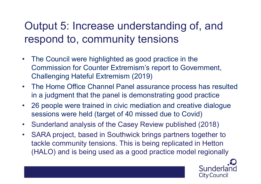### Output 5: Increase understanding of, and respond to, community tensions

- Output 5: Increase understanding of, and<br>respond to, community tensions<br>• The Council were highlighted as good practice in the<br>Commission for Counter Extremism's report to Government,<br>Challenging Hateful Extremism (2019) Commission for Counter Extremism's report to Government, Challenging Hateful Extremism (2019) Output 5: Increase understanding of, and<br>respond to, community tensions<br>• The Council were highlighted as good practice in the<br>commission for Counter Extremism's report to Government,<br>Challenging Hateful Extremism (2019)<br>• • 26 people were trained in civic mediation and creative dialogue<br>• The Council were highlighted as good practice in the<br>
Commission for Counter Extremism's report to Government,<br>
Challenging Hateful Extremism (2019)<br>
• Th • The Council were highlighted as good practice in the<br>
Commission for Counter Extremism's report to Government,<br>
Challenging Hateful Extremism (2019)<br>
• The Home Office Channel Panel assurance process has resulted<br>
in a j
- in a judgment that the panel is demonstrating good practice
- sessions were held (target of 40 missed due to Covid)
- 
- The Council were highlighted as good practice in the<br>
Commission for Counter Extremism's report to Government,<br>
Challenging Hateful Extremism (2019)<br>
 The Home Office Channel Panel assurance process has resulted<br>
in a j tackle community tensions. This is being replicated in Hetton (HALO) and is being used as a good practice model regionally

Sunder **City Council**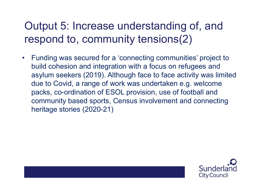### Output 5: Increase understanding of, and respond to, community tensions(2)

Output 5: Increase understanding of, and<br>respond to, community tensions(2)<br>• Funding was secured for a 'connecting communities' project to<br>build cohesion and integration with a focus on refugees and<br>asylum seekers (2019). build cohesion and integration with a focus on refugees and asylum seekers (2019). Although face to face activity was limited due to Covid, a range of work was undertaken e.g. welcome packs, co-ordination of ESOL provision, use of football and community based sports, Census involvement and connecting heritage stories (2020-21)

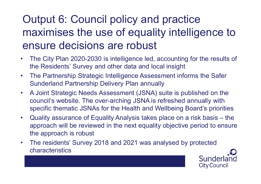## Output 6: Council policy and practice maximises the use of equality intelligence to ensure decisions are robust **Output 6: Council policy and practice<br>
maximises the use of equality intelligence to<br>
ensure decisions are robust<br>
• The City Plan 2020-2030 is intelligence led, accounting for the results of<br>
the Residents' Survey and ot Output 6: Council policy and practice<br>
maximises the use of equality intelligence to<br>
ensure decisions are robust<br>
• The City Plan 2020-2030 is intelligence led, accounting for the results of<br>
the Residents' Survey and ot Output 6: Council policy and practice<br>
maximises the use of equality intelligence to<br>
ensure decisions are robust<br>
• The City Plan 2020-2030 is intelligence led, accounting for the results of<br>
the Residents' Survey and ot**

- the Residents' Survey and other data and local insight
- Sunderland Partnership Delivery Plan annually
- council's website. The over-arching JSNA is refreshed annually with specific thematic JSNAs for the Health and Wellbeing Board's priorities **ensure decisions are robust**<br>
• The City Plan 2020-2030 is intelligence led, accounting for the results of<br>
the Residents' Survey and other data and local insight<br>
• The Partnership Strategic Intelligence Assessment infor the Residents' Survey and other data and local insight<br>
• The Partnership Strategic Intelligence Assessment informs the Safer<br>
Sunderland Partnership Delivery Plan annually<br>
• A Joint Strategic Needs Assessment (JSNA) suit
- approach will be reviewed in the next equality objective period to ensure the approach is robust
- characteristics